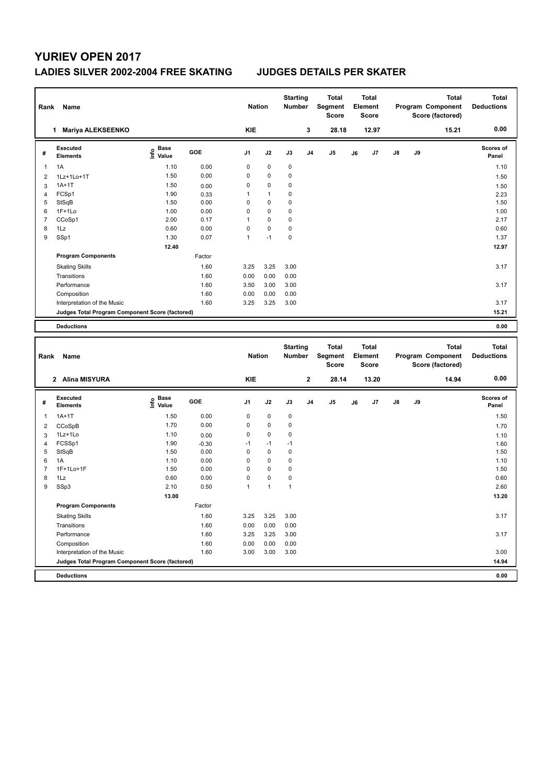# **YURIEV OPEN 2017**

### **LADIES SILVER 2002-2004 FREE SKATING JUDGES DETAILS PER SKATER**

| Rank                | Name                                            |                                           |              | <b>Nation</b>       |                        | <b>Starting</b><br>Number |                | Total<br>Segment<br><b>Score</b> |    | <b>Total</b><br>Element<br><b>Score</b> |    |    | <b>Total</b><br>Program Component<br>Score (factored) | <b>Total</b><br><b>Deductions</b> |
|---------------------|-------------------------------------------------|-------------------------------------------|--------------|---------------------|------------------------|---------------------------|----------------|----------------------------------|----|-----------------------------------------|----|----|-------------------------------------------------------|-----------------------------------|
|                     | 1 Mariya ALEKSEENKO                             |                                           |              | <b>KIE</b>          |                        |                           | 3              | 28.18                            |    | 12.97                                   |    |    | 15.21                                                 | 0.00                              |
| #                   | <b>Executed</b><br><b>Elements</b>              | e Base<br>E Value                         | GOE          | J1                  | J2                     | J3                        | J4             | J5                               | J6 | J7                                      | J8 | J9 |                                                       | <b>Scores of</b><br>Panel         |
| 1                   | 1A                                              | 1.10                                      | 0.00         | 0                   | $\pmb{0}$              | $\pmb{0}$                 |                |                                  |    |                                         |    |    |                                                       | 1.10                              |
| 2                   | 1Lz+1Lo+1T                                      | 1.50                                      | 0.00         | 0                   | $\pmb{0}$              | $\mathbf 0$               |                |                                  |    |                                         |    |    |                                                       | 1.50                              |
| 3                   | $1A+1T$                                         | 1.50                                      | 0.00         | 0                   | $\pmb{0}$              | 0                         |                |                                  |    |                                         |    |    |                                                       | 1.50                              |
| $\overline{4}$      | FCSp1                                           | 1.90                                      | 0.33         | $\mathbf{1}$        | $\mathbf{1}$           | 0                         |                |                                  |    |                                         |    |    |                                                       | 2.23                              |
| 5                   | StSqB                                           | 1.50                                      | 0.00         | $\mathbf 0$         | 0                      | 0                         |                |                                  |    |                                         |    |    |                                                       | 1.50                              |
| 6                   | $1F+1Lo$                                        | 1.00                                      | 0.00         | $\mathbf 0$         | $\mathbf 0$            | $\mathbf 0$               |                |                                  |    |                                         |    |    |                                                       | 1.00                              |
| $\overline{7}$      | CCoSp1                                          | 2.00                                      | 0.17         | $\overline{1}$      | 0                      | $\mathbf 0$               |                |                                  |    |                                         |    |    |                                                       | 2.17                              |
| 8                   | 1Lz                                             | 0.60                                      | 0.00         | 0                   | $\pmb{0}$              | 0                         |                |                                  |    |                                         |    |    |                                                       | 0.60                              |
| 9                   | SSp1                                            | 1.30                                      | 0.07         | $\mathbf{1}$        | $-1$                   | 0                         |                |                                  |    |                                         |    |    |                                                       | 1.37                              |
|                     |                                                 | 12.40                                     |              |                     |                        |                           |                |                                  |    |                                         |    |    |                                                       | 12.97                             |
|                     | <b>Program Components</b>                       |                                           | Factor       |                     |                        |                           |                |                                  |    |                                         |    |    |                                                       |                                   |
|                     | <b>Skating Skills</b>                           |                                           | 1.60         | 3.25                | 3.25                   | 3.00                      |                |                                  |    |                                         |    |    |                                                       | 3.17                              |
|                     | Transitions                                     |                                           | 1.60         | 0.00                | 0.00                   | 0.00                      |                |                                  |    |                                         |    |    |                                                       |                                   |
|                     | Performance                                     |                                           | 1.60         | 3.50                | 3.00                   | 3.00                      |                |                                  |    |                                         |    |    |                                                       | 3.17                              |
|                     | Composition                                     |                                           | 1.60         | 0.00                | 0.00                   | 0.00                      |                |                                  |    |                                         |    |    |                                                       |                                   |
|                     | Interpretation of the Music                     |                                           | 1.60         | 3.25                | 3.25                   | 3.00                      |                |                                  |    |                                         |    |    |                                                       | 3.17                              |
|                     | Judges Total Program Component Score (factored) |                                           |              |                     |                        |                           |                |                                  |    |                                         |    |    |                                                       | 15.21                             |
|                     |                                                 |                                           |              |                     |                        |                           |                |                                  |    |                                         |    |    |                                                       |                                   |
|                     | <b>Deductions</b>                               |                                           |              |                     |                        |                           |                |                                  |    |                                         |    |    |                                                       | 0.00                              |
|                     |                                                 |                                           |              |                     |                        |                           |                |                                  |    |                                         |    |    |                                                       |                                   |
|                     |                                                 |                                           |              |                     |                        |                           |                |                                  |    |                                         |    |    |                                                       |                                   |
|                     |                                                 |                                           |              |                     |                        | <b>Starting</b>           |                | <b>Total</b>                     |    | <b>Total</b>                            |    |    | <b>Total</b>                                          | Total                             |
| Rank                | Name                                            |                                           |              | <b>Nation</b>       |                        | <b>Number</b>             |                | Segment<br><b>Score</b>          |    | Element<br><b>Score</b>                 |    |    | Program Component                                     | <b>Deductions</b>                 |
|                     |                                                 |                                           |              |                     |                        |                           |                |                                  |    |                                         |    |    | Score (factored)                                      |                                   |
|                     | 2 Alina MISYURA                                 |                                           |              | KIE                 |                        |                           | $\bf 2$        | 28.14                            |    | 13.20                                   |    |    | 14.94                                                 | 0.00                              |
| #                   | <b>Executed</b><br><b>Elements</b>              | $\frac{e}{E}$ Base<br>$\frac{E}{E}$ Value | GOE          | J1                  | J2                     | J3                        | J <sub>4</sub> | J5                               | J6 | J7                                      | J8 | J9 |                                                       | <b>Scores of</b><br>Panel         |
|                     |                                                 |                                           |              |                     |                        |                           |                |                                  |    |                                         |    |    |                                                       |                                   |
| 1                   | $1A+1T$                                         | 1.50                                      | 0.00         | 0<br>0              | $\pmb{0}$<br>$\pmb{0}$ | $\pmb{0}$                 |                |                                  |    |                                         |    |    |                                                       | 1.50                              |
| $\overline{2}$      | CCoSpB                                          | 1.70                                      | 0.00         |                     |                        | $\pmb{0}$                 |                |                                  |    |                                         |    |    |                                                       | 1.70                              |
| 3                   | 1Lz+1Lo                                         | 1.10                                      | 0.00         | $\mathbf 0$<br>$-1$ | $\mathbf 0$<br>$-1$    | 0<br>$-1$                 |                |                                  |    |                                         |    |    |                                                       | 1.10                              |
| $\overline{4}$<br>5 | FCSSp1                                          | 1.90                                      | $-0.30$      | $\mathbf 0$         | $\mathbf 0$            | $\mathbf 0$               |                |                                  |    |                                         |    |    |                                                       | 1.60                              |
| 6                   | StSqB<br>1A                                     | 1.50<br>1.10                              | 0.00<br>0.00 | 0                   | $\pmb{0}$              | $\pmb{0}$                 |                |                                  |    |                                         |    |    |                                                       | 1.50<br>1.10                      |
| $\overline{7}$      | 1F+1Lo+1F                                       | 1.50                                      | 0.00         | $\mathbf 0$         | $\pmb{0}$              | 0                         |                |                                  |    |                                         |    |    |                                                       | 1.50                              |
| 8                   | 1Lz                                             | 0.60                                      | 0.00         | 0                   | $\pmb{0}$              | $\pmb{0}$                 |                |                                  |    |                                         |    |    |                                                       | 0.60                              |
| 9                   | SSp3                                            | 2.10                                      | 0.50         | $\mathbf{1}$        | $\mathbf{1}$           | $\mathbf{1}$              |                |                                  |    |                                         |    |    |                                                       | 2.60                              |
|                     |                                                 | 13.00                                     |              |                     |                        |                           |                |                                  |    |                                         |    |    |                                                       | 13.20                             |
|                     | <b>Program Components</b>                       |                                           |              |                     |                        |                           |                |                                  |    |                                         |    |    |                                                       |                                   |
|                     |                                                 |                                           | Factor       |                     |                        | 3.00                      |                |                                  |    |                                         |    |    |                                                       | 3.17                              |
|                     | <b>Skating Skills</b><br>Transitions            |                                           | 1.60<br>1.60 | 3.25<br>0.00        | 3.25                   | 0.00                      |                |                                  |    |                                         |    |    |                                                       |                                   |
|                     | Performance                                     |                                           | 1.60         |                     | 0.00                   | 3.00                      |                |                                  |    |                                         |    |    |                                                       |                                   |
|                     | Composition                                     |                                           | 1.60         | 3.25<br>0.00        | 3.25<br>0.00           | 0.00                      |                |                                  |    |                                         |    |    |                                                       | 3.17                              |
|                     | Interpretation of the Music                     |                                           | 1.60         | 3.00                | 3.00                   | 3.00                      |                |                                  |    |                                         |    |    |                                                       | 3.00                              |
|                     | Judges Total Program Component Score (factored) |                                           |              |                     |                        |                           |                |                                  |    |                                         |    |    |                                                       | 14.94                             |
|                     | <b>Deductions</b>                               |                                           |              |                     |                        |                           |                |                                  |    |                                         |    |    |                                                       | 0.00                              |